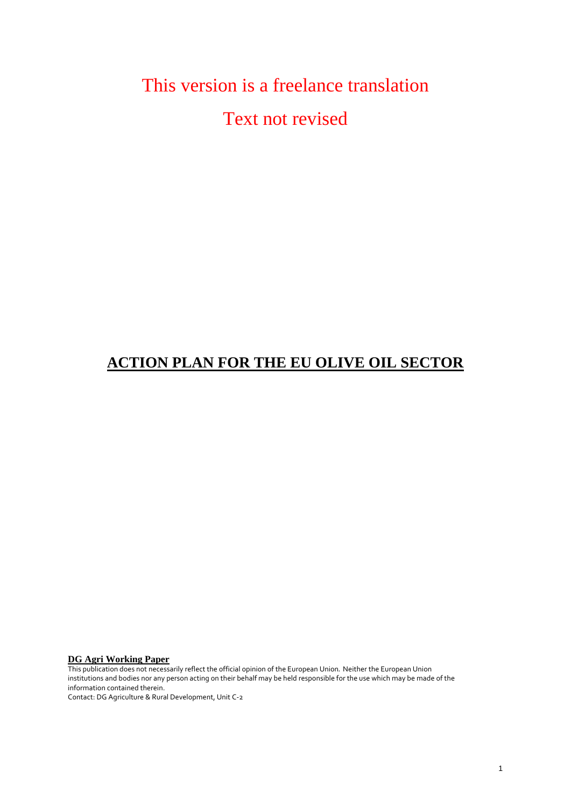# This version is a freelance translation Text not revised

# **ACTION PLAN FOR THE EU OLIVE OIL SECTOR**

**DG Agri Working Paper** 

This publication does not necessarily reflect the official opinion of the European Union*.* Neither the European Union institutions and bodies nor any person acting on their behalf may be held responsible for the use which may be made of the information contained therein.

<span id="page-0-0"></span>Contact: DG Agriculture & Rural Development, Unit C-2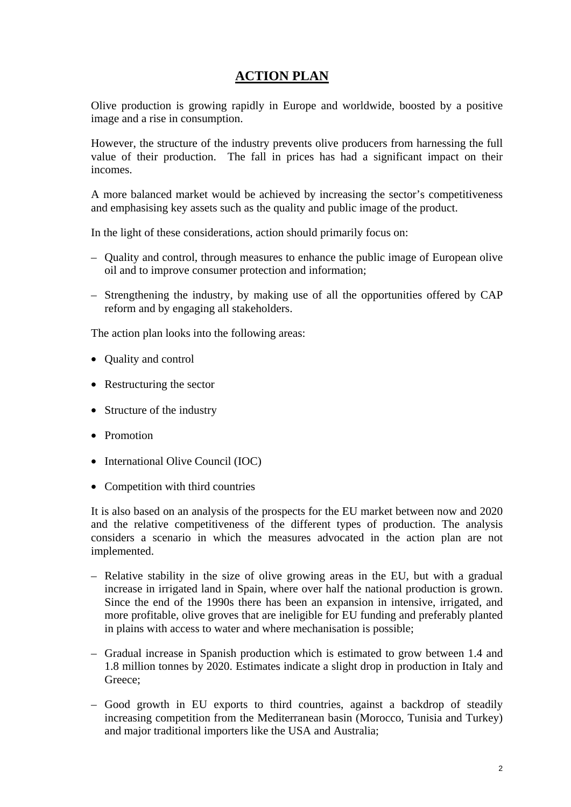# **ACTION PLAN**

Olive production is growing rapidly in Europe and worldwide, boosted by a positive image and a rise in consumption.

However, the structure of the industry prevents olive producers from harnessing the full value of their production. The fall in prices has had a significant impact on their incomes.

A more balanced market would be achieved by increasing the sector's competitiveness and emphasising key assets such as the quality and public image of the product.

In the light of these considerations, action should primarily focus on:

- Quality and control, through measures to enhance the public image of European olive oil and to improve consumer protection and information;
- Strengthening the industry, by making use of all the opportunities offered by CAP reform and by engaging all stakeholders.

The action plan looks into the following areas:

- Quality and control
- Restructuring the sector
- Structure of the industry
- Promotion
- International Olive Council (IOC)
- Competition with third countries

It is also based on an analysis of the prospects for the EU market between now and 2020 and the relative competitiveness of the different types of production. The analysis considers a scenario in which the measures advocated in the action plan are not implemented.

- Relative stability in the size of olive growing areas in the EU, but with a gradual increase in irrigated land in Spain, where over half the national production is grown. Since the end of the 1990s there has been an expansion in intensive, irrigated, and more profitable, olive groves that are ineligible for EU funding and preferably planted in plains with access to water and where mechanisation is possible;
- Gradual increase in Spanish production which is estimated to grow between 1.4 and 1.8 million tonnes by 2020. Estimates indicate a slight drop in production in Italy and Greece:
- Good growth in EU exports to third countries, against a backdrop of steadily increasing competition from the Mediterranean basin (Morocco, Tunisia and Turkey) and major traditional importers like the USA and Australia;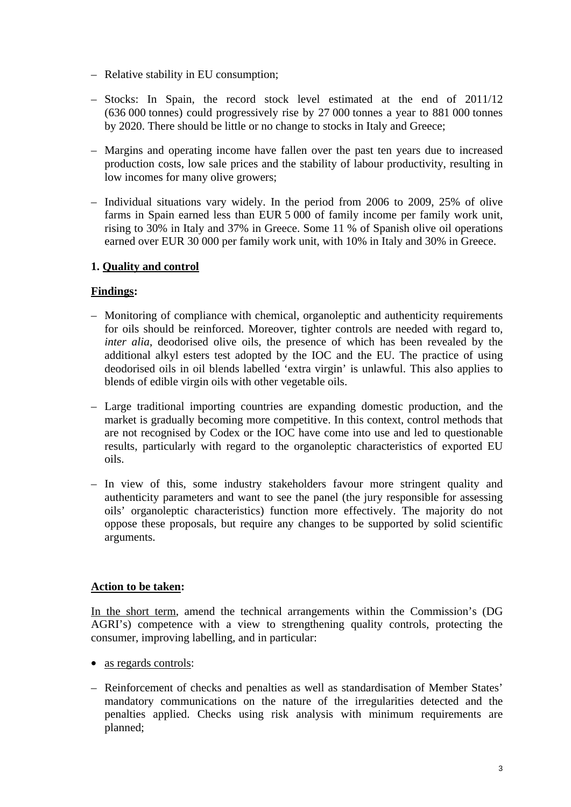- Relative stability in EU consumption;
- Stocks: In Spain, the record stock level estimated at the end of 2011/12 (636 000 tonnes) could progressively rise by 27 000 tonnes a year to 881 000 tonnes by 2020. There should be little or no change to stocks in Italy and Greece;
- Margins and operating income have fallen over the past ten years due to increased production costs, low sale prices and the stability of labour productivity, resulting in low incomes for many olive growers;
- Individual situations vary widely. In the period from 2006 to 2009, 25% of olive farms in Spain earned less than EUR 5 000 of family income per family work unit, rising to 30% in Italy and 37% in Greece. Some 11 % of Spanish olive oil operations earned over EUR 30 000 per family work unit, with 10% in Italy and 30% in Greece.

#### **1. Quality and control**

#### **Findings:**

- Monitoring of compliance with chemical, organoleptic and authenticity requirements for oils should be reinforced. Moreover, tighter controls are needed with regard to, *inter alia*, deodorised olive oils, the presence of which has been revealed by the additional alkyl esters test adopted by the IOC and the EU. The practice of using deodorised oils in oil blends labelled 'extra virgin' is unlawful. This also applies to blends of edible virgin oils with other vegetable oils.
- Large traditional importing countries are expanding domestic production, and the market is gradually becoming more competitive. In this context, control methods that are not recognised by Codex or the IOC have come into use and led to questionable results, particularly with regard to the organoleptic characteristics of exported EU oils.
- In view of this, some industry stakeholders favour more stringent quality and authenticity parameters and want to see the panel (the jury responsible for assessing oils' organoleptic characteristics) function more effectively. The majority do not oppose these proposals, but require any changes to be supported by solid scientific arguments.

#### **Action to be taken:**

In the short term, amend the technical arrangements within the Commission's (DG AGRI's) competence with a view to strengthening quality controls, protecting the consumer, improving labelling, and in particular:

- as regards controls:
- Reinforcement of checks and penalties as well as standardisation of Member States' mandatory communications on the nature of the irregularities detected and the penalties applied. Checks using risk analysis with minimum requirements are planned;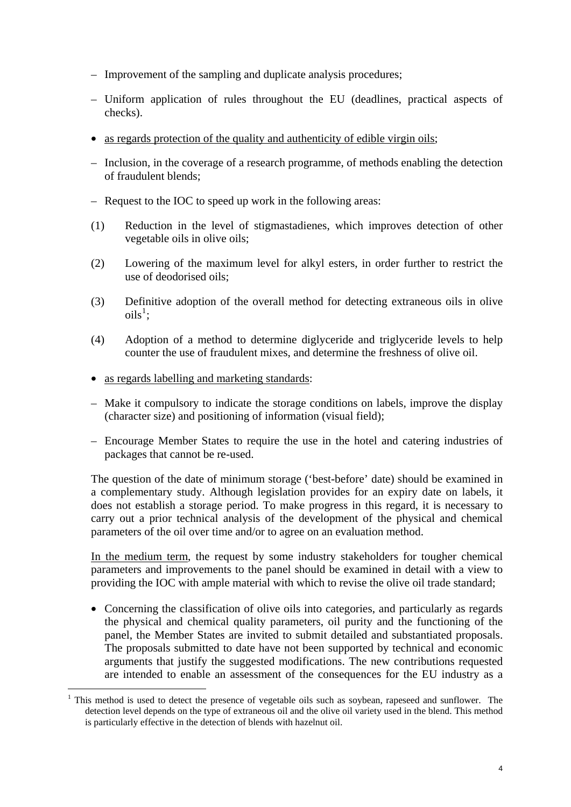- Improvement of the sampling and duplicate analysis procedures;
- Uniform application of rules throughout the EU (deadlines, practical aspects of checks).
- as regards protection of the quality and authenticity of edible virgin oils;
- Inclusion, in the coverage of a research programme, of methods enabling the detection of fraudulent blends;
- Request to the IOC to speed up work in the following areas:
- (1) Reduction in the level of stigmastadienes, which improves detection of other vegetable oils in olive oils;
- (2) Lowering of the maximum level for alkyl esters, in order further to restrict the use of deodorised oils;
- (3) Definitive adoption of the overall method for detecting extraneous oils in olive  $\mathrm{oils}^1$  $\mathrm{oils}^1$ ;
- (4) Adoption of a method to determine diglyceride and triglyceride levels to help counter the use of fraudulent mixes, and determine the freshness of olive oil.
- as regards labelling and marketing standards:

1

- Make it compulsory to indicate the storage conditions on labels, improve the display (character size) and positioning of information (visual field);
- Encourage Member States to require the use in the hotel and catering industries of packages that cannot be re-used.

The question of the date of minimum storage ('best-before' date) should be examined in a complementary study. Although legislation provides for an expiry date on labels, it does not establish a storage period. To make progress in this regard, it is necessary to carry out a prior technical analysis of the development of the physical and chemical parameters of the oil over time and/or to agree on an evaluation method.

In the medium term, the request by some industry stakeholders for tougher chemical parameters and improvements to the panel should be examined in detail with a view to providing the IOC with ample material with which to revise the olive oil trade standard;

• Concerning the classification of olive oils into categories, and particularly as regards the physical and chemical quality parameters, oil purity and the functioning of the panel, the Member States are invited to submit detailed and substantiated proposals. The proposals submitted to date have not been supported by technical and economic arguments that justify the suggested modifications. The new contributions requested are intended to enable an assessment of the consequences for the EU industry as a

<sup>1</sup> This method is used to detect the presence of vegetable oils such as soybean, rapeseed and sunflower. The detection level depends on the type of extraneous oil and the olive oil variety used in the blend. This method is particularly effective in the detection of blends with hazelnut oil.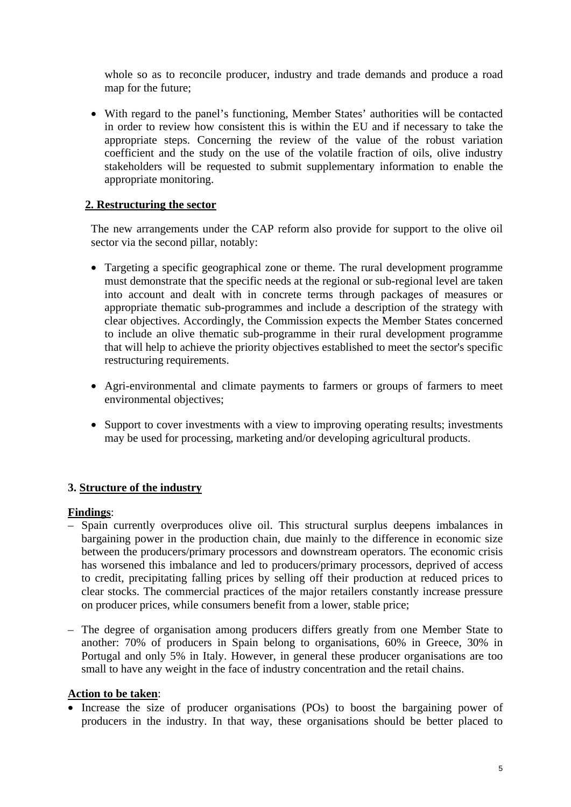whole so as to reconcile producer, industry and trade demands and produce a road map for the future;

• With regard to the panel's functioning, Member States' authorities will be contacted in order to review how consistent this is within the EU and if necessary to take the appropriate steps. Concerning the review of the value of the robust variation coefficient and the study on the use of the volatile fraction of oils, olive industry stakeholders will be requested to submit supplementary information to enable the appropriate monitoring.

#### **2. Restructuring the sector**

The new arrangements under the CAP reform also provide for support to the olive oil sector via the second pillar, notably:

- Targeting a specific geographical zone or theme. The rural development programme must demonstrate that the specific needs at the regional or sub-regional level are taken into account and dealt with in concrete terms through packages of measures or appropriate thematic sub-programmes and include a description of the strategy with clear objectives. Accordingly, the Commission expects the Member States concerned to include an olive thematic sub-programme in their rural development programme that will help to achieve the priority objectives established to meet the sector's specific restructuring requirements.
- Agri-environmental and climate payments to farmers or groups of farmers to meet environmental objectives;
- Support to cover investments with a view to improving operating results; investments may be used for processing, marketing and/or developing agricultural products.

#### **3. Structure of the industry**

#### **Findings**:

- Spain currently overproduces olive oil. This structural surplus deepens imbalances in bargaining power in the production chain, due mainly to the difference in economic size between the producers/primary processors and downstream operators. The economic crisis has worsened this imbalance and led to producers/primary processors, deprived of access to credit, precipitating falling prices by selling off their production at reduced prices to clear stocks. The commercial practices of the major retailers constantly increase pressure on producer prices, while consumers benefit from a lower, stable price;
- The degree of organisation among producers differs greatly from one Member State to another: 70% of producers in Spain belong to organisations, 60% in Greece, 30% in Portugal and only 5% in Italy. However, in general these producer organisations are too small to have any weight in the face of industry concentration and the retail chains.

#### **Action to be taken**:

Increase the size of producer organisations (POs) to boost the bargaining power of producers in the industry. In that way, these organisations should be better placed to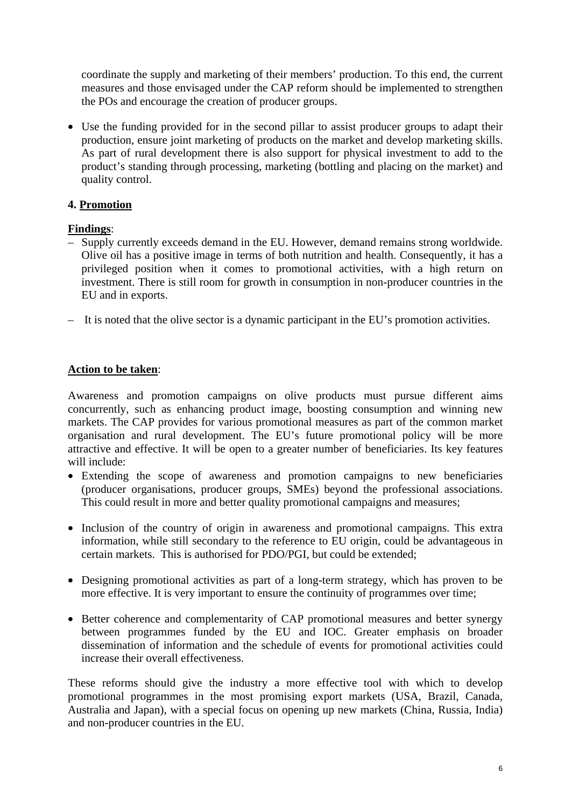coordinate the supply and marketing of their members' production. To this end, the current measures and those envisaged under the CAP reform should be implemented to strengthen the POs and encourage the creation of producer groups.

• Use the funding provided for in the second pillar to assist producer groups to adapt their production, ensure joint marketing of products on the market and develop marketing skills. As part of rural development there is also support for physical investment to add to the product's standing through processing, marketing (bottling and placing on the market) and quality control.

### **4. Promotion**

### **Findings**:

- Supply currently exceeds demand in the EU. However, demand remains strong worldwide. Olive oil has a positive image in terms of both nutrition and health. Consequently, it has a privileged position when it comes to promotional activities, with a high return on investment. There is still room for growth in consumption in non-producer countries in the EU and in exports.
- It is noted that the olive sector is a dynamic participant in the EU's promotion activities.

### **Action to be taken**:

Awareness and promotion campaigns on olive products must pursue different aims concurrently, such as enhancing product image, boosting consumption and winning new markets. The CAP provides for various promotional measures as part of the common market organisation and rural development. The EU's future promotional policy will be more attractive and effective. It will be open to a greater number of beneficiaries. Its key features will include:

- Extending the scope of awareness and promotion campaigns to new beneficiaries (producer organisations, producer groups, SMEs) beyond the professional associations. This could result in more and better quality promotional campaigns and measures;
- Inclusion of the country of origin in awareness and promotional campaigns. This extra information, while still secondary to the reference to EU origin, could be advantageous in certain markets. This is authorised for PDO/PGI, but could be extended;
- Designing promotional activities as part of a long-term strategy, which has proven to be more effective. It is very important to ensure the continuity of programmes over time;
- Better coherence and complementarity of CAP promotional measures and better synergy between programmes funded by the EU and IOC. Greater emphasis on broader dissemination of information and the schedule of events for promotional activities could increase their overall effectiveness.

These reforms should give the industry a more effective tool with which to develop promotional programmes in the most promising export markets (USA, Brazil, Canada, Australia and Japan), with a special focus on opening up new markets (China, Russia, India) and non-producer countries in the EU.